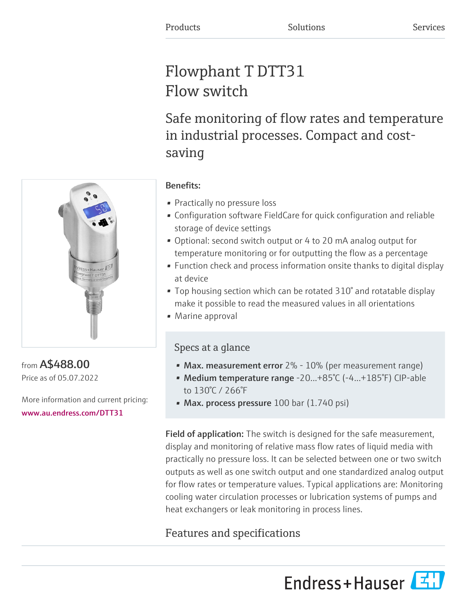# Flowphant T DTT31 Flow switch

Safe monitoring of flow rates and temperature in industrial processes. Compact and costsaving



from A\$488.00 Price as of 05.07.2022

More information and current pricing: [www.au.endress.com/DTT31](https://www.au.endress.com/DTT31)

## Benefits:

- Practically no pressure loss
- Configuration software FieldCare for quick configuration and reliable storage of device settings
- Optional: second switch output or 4 to 20 mA analog output for temperature monitoring or for outputting the flow as a percentage
- Function check and process information onsite thanks to digital display at device
- Top housing section which can be rotated 310° and rotatable display make it possible to read the measured values in all orientations
- Marine approval

# Specs at a glance

- Max. measurement error  $2\%$   $10\%$  (per measurement range)
- Medium temperature range -20...+85°C (-4...+185°F) CIP-able to 130°C / 266°F
- Max. process pressure  $100$  bar  $(1.740$  psi)

Field of application: The switch is designed for the safe measurement, display and monitoring of relative mass flow rates of liquid media with practically no pressure loss. It can be selected between one or two switch outputs as well as one switch output and one standardized analog output for flow rates or temperature values. Typical applications are: Monitoring cooling water circulation processes or lubrication systems of pumps and heat exchangers or leak monitoring in process lines.

# Features and specifications